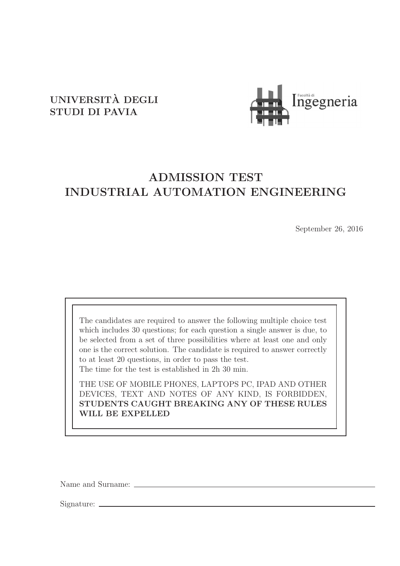## UNIVERSITA DEGLI ` STUDI DI PAVIA



# ADMISSION TEST INDUSTRIAL AUTOMATION ENGINEERING

September 26, 2016

The candidates are required to answer the following multiple choice test which includes 30 questions; for each question a single answer is due, to be selected from a set of three possibilities where at least one and only one is the correct solution. The candidate is required to answer correctly to at least 20 questions, in order to pass the test. The time for the test is established in 2h 30 min.

THE USE OF MOBILE PHONES, LAPTOPS PC, IPAD AND OTHER DEVICES, TEXT AND NOTES OF ANY KIND, IS FORBIDDEN, STUDENTS CAUGHT BREAKING ANY OF THESE RULES WILL BE EXPELLED

Name and Surname:

Signature: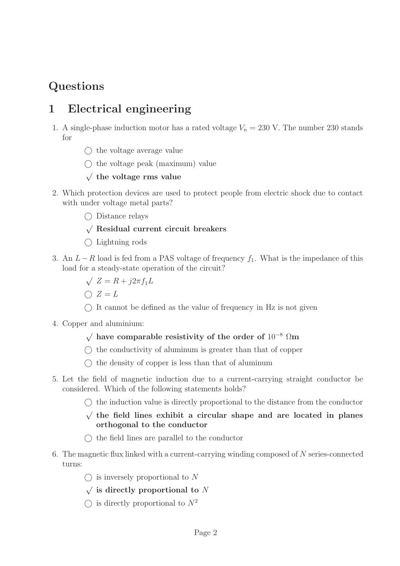# Questions

# 1 Electrical engineering

- 1. A single-phase induction motor has a rated voltage  $V_n = 230$  V. The number 230 stands for
	- $\bigcap$  the voltage average value
	- $\bigcap$  the voltage peak (maximum) value
	- $\sqrt{}$  the voltage rms value
- 2. Which protection devices are used to protect people from electric shock due to contact with under voltage metal parts?
	- Distance relays

#### √ Residual current circuit breakers

- $\bigcap$  Lightning rods
- 3. An  $L-R$  load is fed from a PAS voltage of frequency  $f_1$ . What is the impedance of this load for a steady-state operation of the circuit?
	- $\sqrt{Z} = R + j2\pi f_1 L$
	- $\bigcap Z = L$
	- $\bigcap$  It cannot be defined as the value of frequency in Hz is not given
- 4. Copper and aluminium:

#### $\sqrt{\ }$  have comparable resistivity of the order of 10<sup>-8</sup> Ωm

- $\bigcirc$  the conductivity of aluminum is greater than that of copper
- $\bigcirc$  the density of copper is less than that of aluminum
- 5. Let the field of magnetic induction due to a current-carrying straight conductor be considered. Which of the following statements holds?
	- $\bigcirc$  the induction value is directly proportional to the distance from the conductor
	- √ the field lines exhibit a circular shape and are located in planes orthogonal to the conductor
	- $\bigcirc$  the field lines are parallel to the conductor
- 6. The magnetic flux linked with a current-carrying winding composed of N series-connected turns:
	- $\bigcap$  is inversely proportional to N
	- $\sqrt{\ }$  is directly proportional to N
	- $\bigcap$  is directly proportional to  $N^2$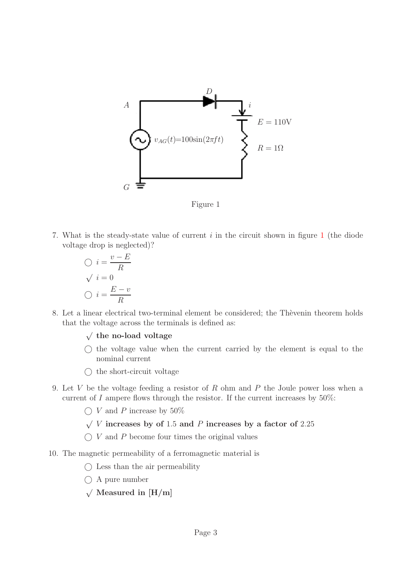<span id="page-2-0"></span>

Figure 1

7. What is the steady-state value of current  $i$  in the circuit shown in figure [1](#page-2-0) (the diode voltage drop is neglected)?

$$
\bigcirc i = \frac{v - E}{R}
$$

$$
\sqrt{i} = 0
$$

$$
\bigcirc i = \frac{E - v}{R}
$$

8. Let a linear electrical two-terminal element be considered; the Thèvenin theorem holds that the voltage across the terminals is defined as:

 $\sqrt{}$  the no-load voltage

- $\bigcirc$  the voltage value when the current carried by the element is equal to the nominal current
- $\bigcirc$  the short-circuit voltage
- 9. Let V be the voltage feeding a resistor of R ohm and P the Joule power loss when a current of I ampere flows through the resistor. If the current increases by  $50\%$ :
	- $\bigcirc$  V and P increase by 50%
	- $\sqrt{V}$  increases by of 1.5 and P increases by a factor of 2.25
	- $\bigcirc$  V and P become four times the original values
- 10. The magnetic permeability of a ferromagnetic material is
	- $\bigcirc$  Less than the air permeability
	- A pure number
	- $\sqrt{\text{ Measured in }[H/m]}$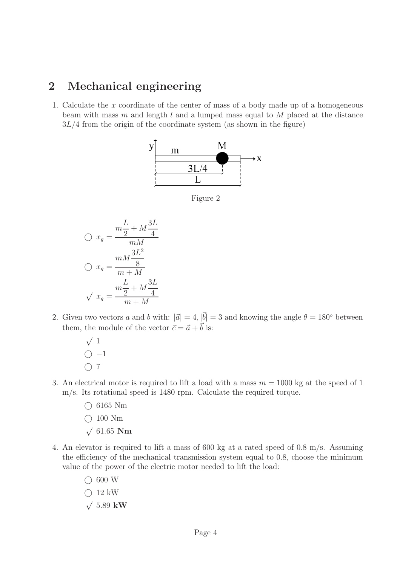### 2 Mechanical engineering

1. Calculate the x coordinate of the center of mass of a body made up of a homogeneous beam with mass m and length  $l$  and a lumped mass equal to  $M$  placed at the distance  $3L/4$  from the origin of the coordinate system (as shown in the figure)



Figure 2

$$
\bigcirc x_g = \frac{m\frac{L}{2} + M\frac{3L}{4}}{mM}
$$

$$
\bigcirc x_g = \frac{mM\frac{3L^2}{8}}{m+M}
$$

$$
\sqrt{x_g} = \frac{m\frac{L}{2} + M\frac{3L}{4}}{m+M}
$$

- 2. Given two vectors a and b with:  $|\vec{a}| = 4$ ,  $|\vec{b}| = 3$  and knowing the angle  $\theta = 180^{\circ}$  between them, the module of the vector  $\vec{c} = \vec{a} + \vec{b}$  is:
	- $\sqrt{1}$  $\bigcirc$  -1  $\bigcirc$  7
- 3. An electrical motor is required to lift a load with a mass  $m = 1000$  kg at the speed of 1 m/s. Its rotational speed is 1480 rpm. Calculate the required torque.
	- $\bigcirc$  6165 Nm
	- $\bigcirc$  100 Nm
	- $\sqrt{61.65}$  Nm
- 4. An elevator is required to lift a mass of 600 kg at a rated speed of 0.8 m/s. Assuming the efficiency of the mechanical transmission system equal to 0.8, choose the minimum value of the power of the electric motor needed to lift the load:
	- $\bigcirc$  600 W
	- $\bigcap$  12 kW
	- $√ 5.89$  kW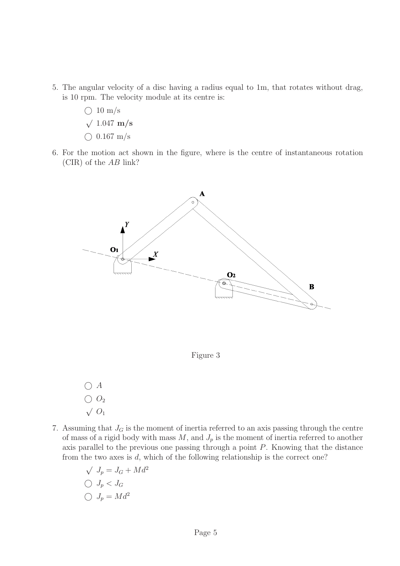- 5. The angular velocity of a disc having a radius equal to 1m, that rotates without drag, is 10 rpm. The velocity module at its centre is:
	- $\bigcirc$  10 m/s  $√ 1.047 m/s$
	- $\bigcirc$  0.167 m/s
- 6. For the motion act shown in the figure, where is the centre of instantaneous rotation (CIR) of the AB link?



Figure 3

- $\bigcirc$  A  $\bigcirc$   $O_2$  $\sqrt{O_1}$
- 7. Assuming that  $J_G$  is the moment of inertia referred to an axis passing through the centre of mass of a rigid body with mass  $M$ , and  $J_p$  is the moment of inertia referred to another axis parallel to the previous one passing through a point P. Knowing that the distance from the two axes is d, which of the following relationship is the correct one?
	- $\sqrt{J_p} = J_G + Md^2$  $\bigcirc$   $J_p < J_G$  $\bigcirc J_p = Md^2$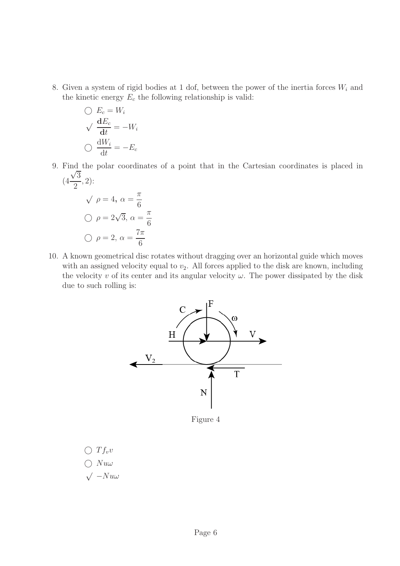8. Given a system of rigid bodies at 1 dof, between the power of the inertia forces  $W_i$  and the kinetic energy  $E_c$  the following relationship is valid:

$$
\bigcirc E_c = W_i
$$
  

$$
\bigcirc \frac{dE_c}{dt} = -W_i
$$
  

$$
\bigcirc \frac{dW_i}{dt} = -E_c
$$

9. Find the polar coordinates of a point that in the Cartesian coordinates is placed in (4  $\frac{1}{\sqrt{3}}$ , 2):

$$
\sqrt{\rho} = 4, \ \alpha = \frac{\pi}{6}
$$

$$
\sqrt{\rho} = 2\sqrt{3}, \ \alpha = \frac{\pi}{6}
$$

$$
\sqrt{\rho} = 2, \ \alpha = \frac{7\pi}{6}
$$

2

10. A known geometrical disc rotates without dragging over an horizontal guide which moves with an assigned velocity equal to  $v_2$ . All forces applied to the disk are known, including the velocity  $v$  of its center and its angular velocity  $\omega$ . The power dissipated by the disk due to such rolling is:



Figure 4

 $\bigcirc$   $T f_v v$  $\bigcirc$  Nuw

 $\sqrt{-N}u\omega$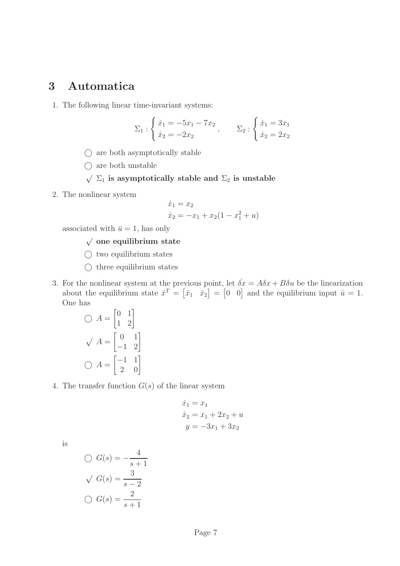### 3 Automatica

1. The following linear time-invariant systems:

$$
\Sigma_1 : \begin{cases} \dot{x}_1 = -5x_1 - 7x_2 \\ \dot{x}_2 = -2x_2 \end{cases}, \qquad \Sigma_2 : \begin{cases} \dot{x}_1 = 3x_1 \\ \dot{x}_2 = 2x_2 \end{cases}
$$

- $\bigcirc$  are both asymptotically stable
- $\bigcirc$  are both unstable
- $\sqrt{\Sigma_1}$  is asymptotically stable and  $\Sigma_2$  is unstable
- 2. The nonlinear system

$$
\dot{x}_1 = x_2
$$
  
\n
$$
\dot{x}_2 = -x_1 + x_2(1 - x_1^2 + u)
$$

associated with  $\bar{u} = 1$ , has only

#### $\sqrt{\,}$ one equilibrium state

- $\bigcirc$  two equilibrium states
- $\bigcirc$  three equilibrium states
- 3. For the nonlinear system at the previous point, let  $\dot{\delta x} = A\delta x + B\delta u$  be the linearization about the equilibrium state  $\bar{x}^T = [\bar{x}_1 \ \bar{x}_2] = [0 \ 0]$  and the equilibrium input  $\bar{u} = 1$ . One has

$$
\bigcirc A = \begin{bmatrix} 0 & 1 \\ 1 & 2 \end{bmatrix}
$$

$$
\bigvee A = \begin{bmatrix} 0 & 1 \\ -1 & 2 \end{bmatrix}
$$

$$
\bigcirc A = \begin{bmatrix} -1 & 1 \\ 2 & 0 \end{bmatrix}
$$

4. The transfer function  $G(s)$  of the linear system

$$
\dot{x}_1 = x_1
$$
  
\n
$$
\dot{x}_2 = x_1 + 2x_2 + u
$$
  
\n
$$
y = -3x_1 + 3x_2
$$

is

$$
\bigcirc G(s) = -\frac{4}{s+1}
$$

$$
\sqrt{G(s)} = \frac{3}{s-2}
$$

$$
\bigcirc G(s) = \frac{2}{s+1}
$$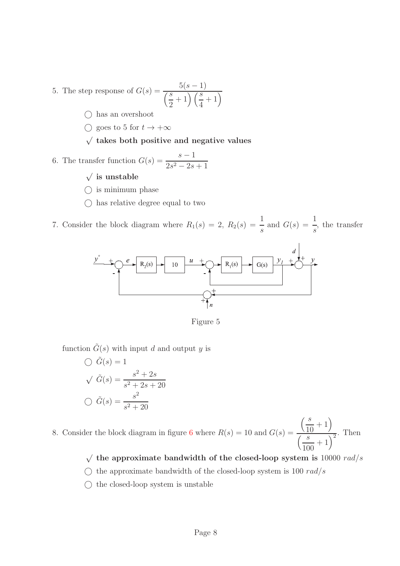- 5. The step response of  $G(s) = \frac{5(s-1)}{\binom{s}{2}+1}\frac{s}{s}$ . 2  $+\ 1 \big)\big(\frac{s}{4}\big)$ 4  $+1)$ 
	- $\bigcap$  has an overshoot
	- $\bigcirc$  goes to 5 for  $t \to +\infty$
	- $\sqrt{\ }$  takes both positive and negative values
- 6. The transfer function  $G(s) = \frac{s-1}{s-2}$  $2s^2 - 2s + 1$ 
	- $\sqrt{\ }$  is unstable
	- $\bigcirc$  is minimum phase
	- $\bigcirc$  has relative degree equal to two

7. Consider the block diagram where  $R_1(s) = 2, R_2(s) =$ 1 s and  $G(s) =$ 1 s , the transfer



Figure 5

function  $\tilde{G}(s)$  with input d and output y is

$$
\bigcirc \tilde{G}(s) = 1
$$
  

$$
\sqrt{\tilde{G}(s)} = \frac{s^2 + 2s}{s^2 + 2s + 20}
$$
  

$$
\bigcirc \tilde{G}(s) = \frac{s^2}{s^2 + 20}
$$

8. Consider the block diagram in figure [6](#page-8-0) where  $R(s) = 10$  and  $G(s) =$  $\frac{s}{s}$ 10  $+1)$  $\sqrt{s}$ 100  $\frac{1}{x+1}$ . Then

- $\sqrt{\ }$  the approximate bandwidth of the closed-loop system is 10000 rad/s
- $\bigcirc$  the approximate bandwidth of the closed-loop system is 100 rad/s
- $\bigcirc$  the closed-loop system is unstable